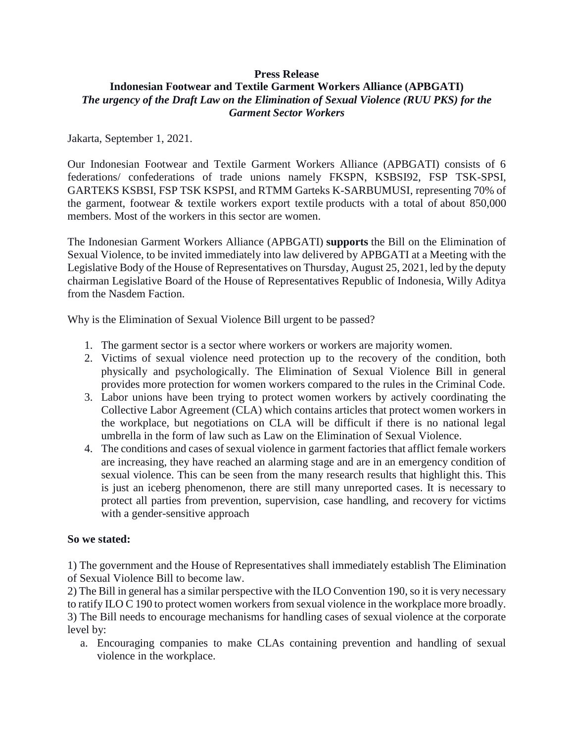## **Press Release Indonesian Footwear and Textile Garment Workers Alliance (APBGATI)** *The urgency of the Draft Law on the Elimination of Sexual Violence (RUU PKS) for the Garment Sector Workers*

Jakarta, September 1, 2021.

Our Indonesian Footwear and Textile Garment Workers Alliance (APBGATI) consists of 6 federations/ confederations of trade unions namely FKSPN, KSBSI92, FSP TSK-SPSI, GARTEKS KSBSI, FSP TSK KSPSI, and RTMM Garteks K-SARBUMUSI, representing 70% of the garment, footwear & textile workers export textile products with a total of about 850,000 members. Most of the workers in this sector are women.

The Indonesian Garment Workers Alliance (APBGATI) **supports** the Bill on the Elimination of Sexual Violence, to be invited immediately into law delivered by APBGATI at a Meeting with the Legislative Body of the House of Representatives on Thursday, August 25, 2021, led by the deputy chairman Legislative Board of the House of Representatives Republic of Indonesia, Willy Aditya from the Nasdem Faction.

Why is the Elimination of Sexual Violence Bill urgent to be passed?

- 1. The garment sector is a sector where workers or workers are majority women.
- 2. Victims of sexual violence need protection up to the recovery of the condition, both physically and psychologically. The Elimination of Sexual Violence Bill in general provides more protection for women workers compared to the rules in the Criminal Code.
- 3. Labor unions have been trying to protect women workers by actively coordinating the Collective Labor Agreement (CLA) which contains articles that protect women workers in the workplace, but negotiations on CLA will be difficult if there is no national legal umbrella in the form of law such as Law on the Elimination of Sexual Violence.
- 4. The conditions and cases of sexual violence in garment factories that afflict female workers are increasing, they have reached an alarming stage and are in an emergency condition of sexual violence. This can be seen from the many research results that highlight this. This is just an iceberg phenomenon, there are still many unreported cases. It is necessary to protect all parties from prevention, supervision, case handling, and recovery for victims with a gender-sensitive approach

## **So we stated:**

1) The government and the House of Representatives shall immediately establish The Elimination of Sexual Violence Bill to become law.

2) The Bill in general has a similar perspective with the ILO Convention 190, so it is very necessary to ratify ILO C 190 to protect women workers from sexual violence in the workplace more broadly. 3) The Bill needs to encourage mechanisms for handling cases of sexual violence at the corporate level by:

a. Encouraging companies to make CLAs containing prevention and handling of sexual violence in the workplace.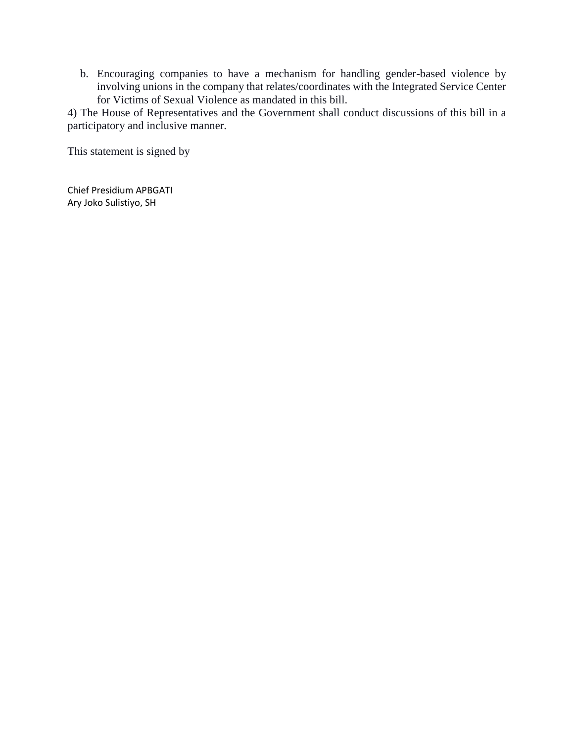b. Encouraging companies to have a mechanism for handling gender-based violence by involving unions in the company that relates/coordinates with the Integrated Service Center for Victims of Sexual Violence as mandated in this bill.

4) The House of Representatives and the Government shall conduct discussions of this bill in a participatory and inclusive manner.

This statement is signed by

Chief Presidium APBGATI Ary Joko Sulistiyo, SH